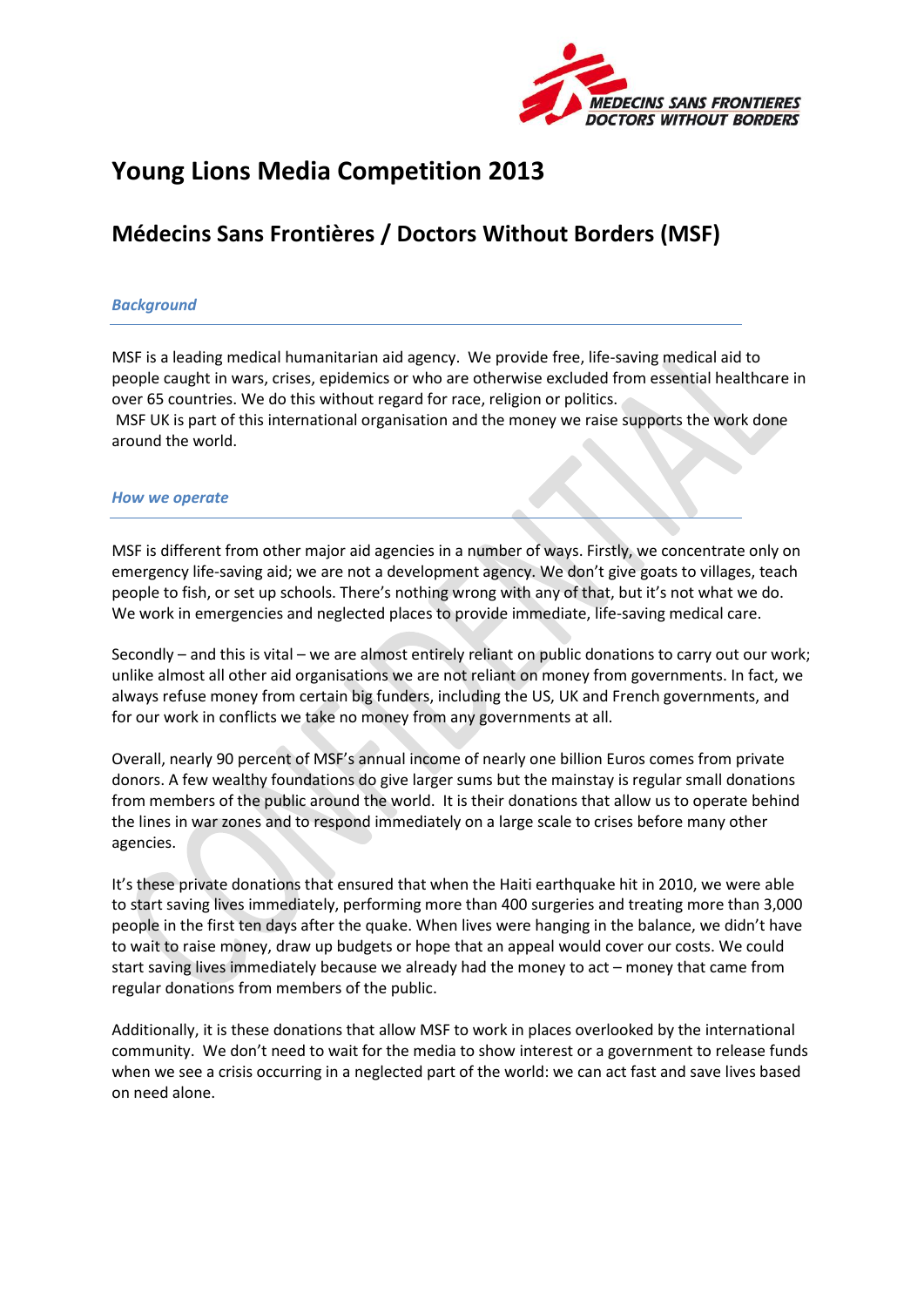

# **Young Lions Media Competition 2013**

## **Médecins Sans Frontières / Doctors Without Borders (MSF)**

#### *Background*

MSF is a leading medical humanitarian aid agency. We provide free, life-saving medical aid to people caught in wars, crises, epidemics or who are otherwise excluded from essential healthcare in over 65 countries. We do this without regard for race, religion or politics. MSF UK is part of this international organisation and the money we raise supports the work done around the world.

#### *How we operate*

MSF is different from other major aid agencies in a number of ways. Firstly, we concentrate only on emergency life-saving aid; we are not a development agency. We don't give goats to villages, teach people to fish, or set up schools. There's nothing wrong with any of that, but it's not what we do. We work in emergencies and neglected places to provide immediate, life-saving medical care.

Secondly – and this is vital – we are almost entirely reliant on public donations to carry out our work; unlike almost all other aid organisations we are not reliant on money from governments. In fact, we always refuse money from certain big funders, including the US, UK and French governments, and for our work in conflicts we take no money from any governments at all.

Overall, nearly 90 percent of MSF's annual income of nearly one billion Euros comes from private donors. A few wealthy foundations do give larger sums but the mainstay is regular small donations from members of the public around the world. It is their donations that allow us to operate behind the lines in war zones and to respond immediately on a large scale to crises before many other agencies.

It's these private donations that ensured that when the Haiti earthquake hit in 2010, we were able to start saving lives immediately, performing more than 400 surgeries and treating more than 3,000 people in the first ten days after the quake. When lives were hanging in the balance, we didn't have to wait to raise money, draw up budgets or hope that an appeal would cover our costs. We could start saving lives immediately because we already had the money to act – money that came from regular donations from members of the public.

Additionally, it is these donations that allow MSF to work in places overlooked by the international community. We don't need to wait for the media to show interest or a government to release funds when we see a crisis occurring in a neglected part of the world: we can act fast and save lives based on need alone.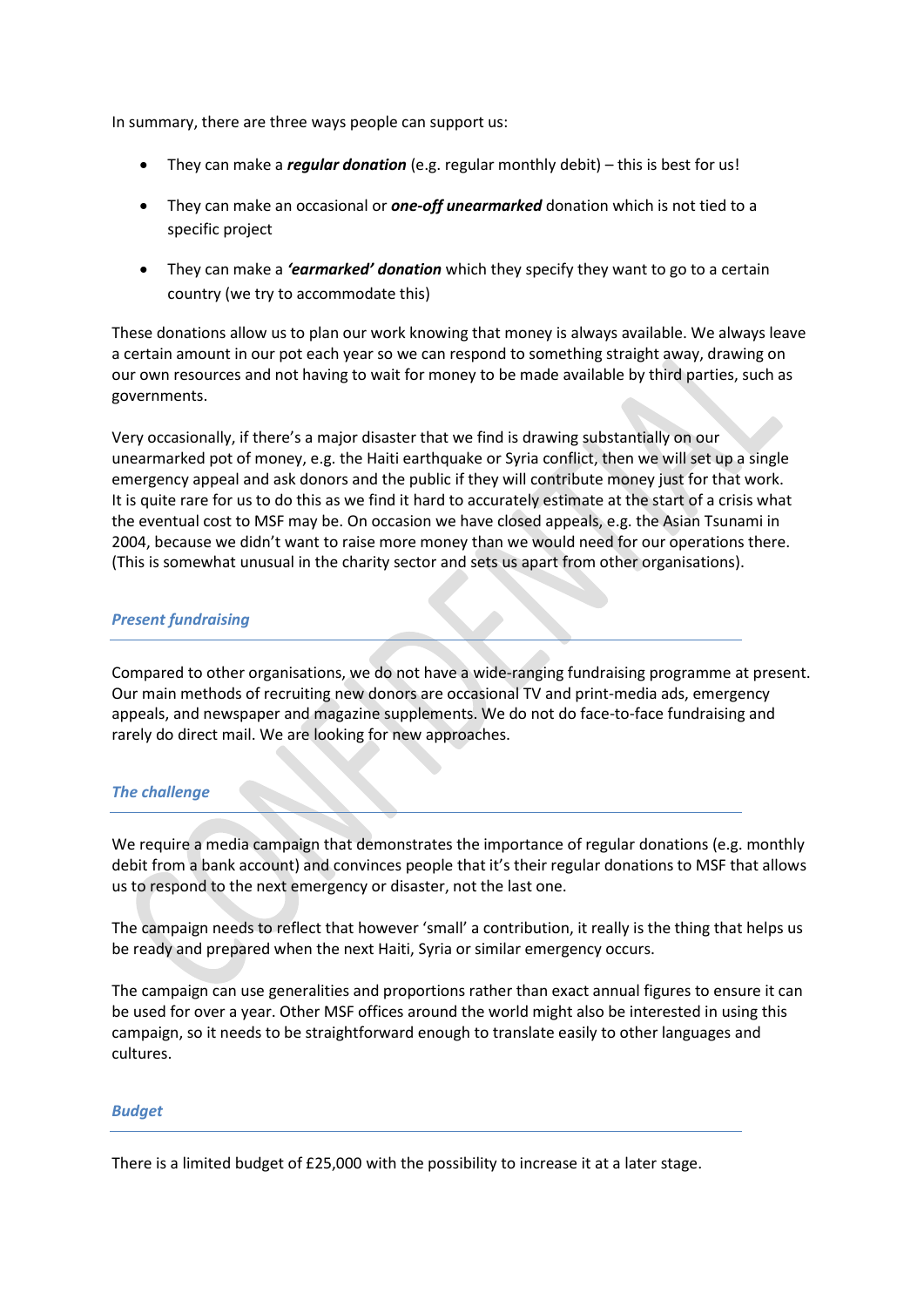In summary, there are three ways people can support us:

- They can make a *regular donation* (e.g. regular monthly debit) this is best for us!
- They can make an occasional or *one-off unearmarked* donation which is not tied to a specific project
- They can make a *'earmarked' donation* which they specify they want to go to a certain country (we try to accommodate this)

These donations allow us to plan our work knowing that money is always available. We always leave a certain amount in our pot each year so we can respond to something straight away, drawing on our own resources and not having to wait for money to be made available by third parties, such as governments.

Very occasionally, if there's a major disaster that we find is drawing substantially on our unearmarked pot of money, e.g. the Haiti earthquake or Syria conflict, then we will set up a single emergency appeal and ask donors and the public if they will contribute money just for that work. It is quite rare for us to do this as we find it hard to accurately estimate at the start of a crisis what the eventual cost to MSF may be. On occasion we have closed appeals, e.g. the Asian Tsunami in 2004, because we didn't want to raise more money than we would need for our operations there. (This is somewhat unusual in the charity sector and sets us apart from other organisations).

## *Present fundraising*

Compared to other organisations, we do not have a wide-ranging fundraising programme at present. Our main methods of recruiting new donors are occasional TV and print-media ads, emergency appeals, and newspaper and magazine supplements. We do not do face-to-face fundraising and rarely do direct mail. We are looking for new approaches.

## *The challenge*

We require a media campaign that demonstrates the importance of regular donations (e.g. monthly debit from a bank account) and convinces people that it's their regular donations to MSF that allows us to respond to the next emergency or disaster, not the last one.

The campaign needs to reflect that however 'small' a contribution, it really is the thing that helps us be ready and prepared when the next Haiti, Syria or similar emergency occurs.

The campaign can use generalities and proportions rather than exact annual figures to ensure it can be used for over a year. Other MSF offices around the world might also be interested in using this campaign, so it needs to be straightforward enough to translate easily to other languages and cultures.

## *Budget*

There is a limited budget of £25,000 with the possibility to increase it at a later stage.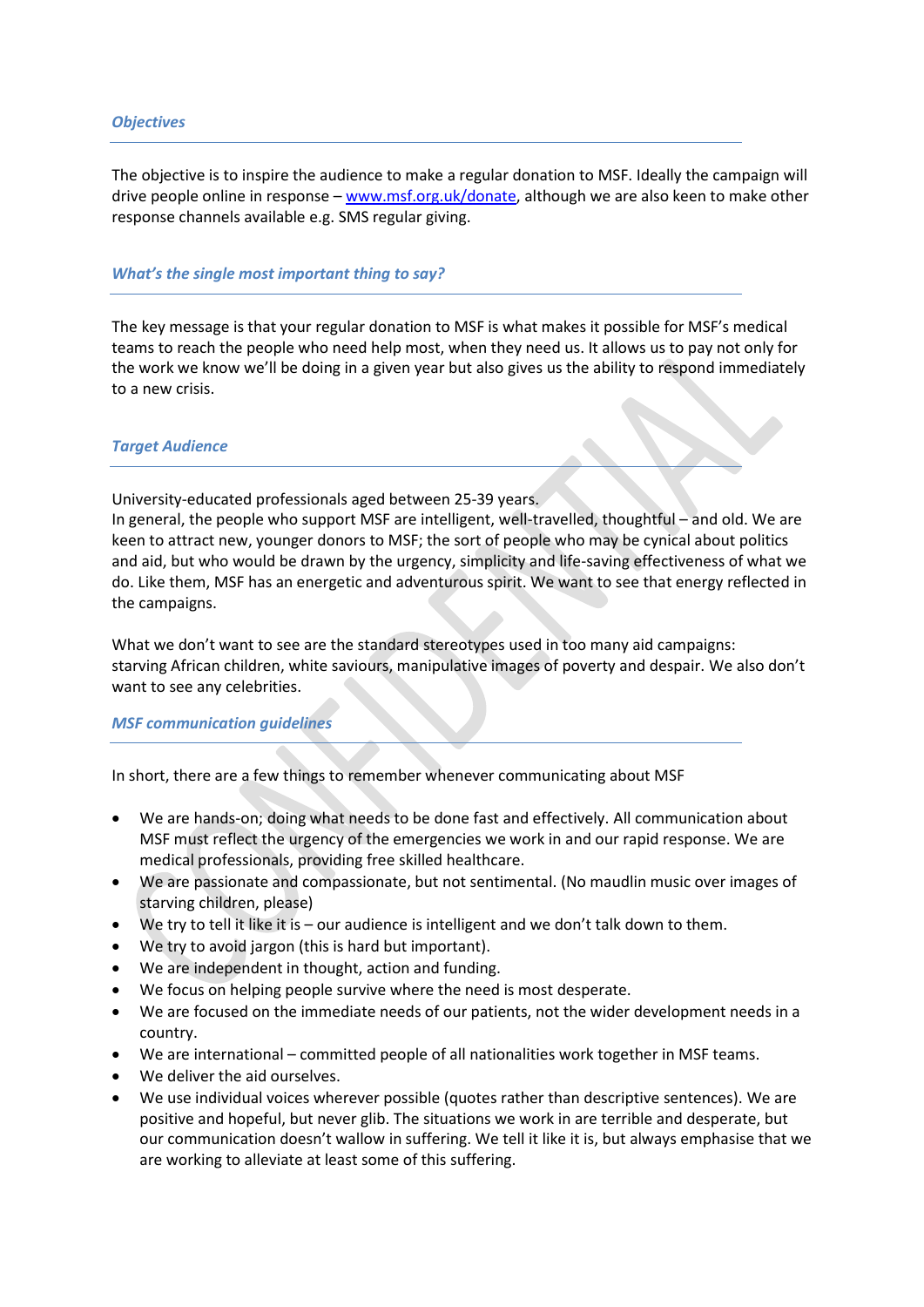#### *Objectives*

The objective is to inspire the audience to make a regular donation to MSF. Ideally the campaign will drive people online in response – [www.msf.org.uk/donate,](http://www.msf.org.uk/donate) although we are also keen to make other response channels available e.g. SMS regular giving.

#### *What's the single most important thing to say?*

The key message is that your regular donation to MSF is what makes it possible for MSF's medical teams to reach the people who need help most, when they need us. It allows us to pay not only for the work we know we'll be doing in a given year but also gives us the ability to respond immediately to a new crisis.

#### *Target Audience*

University-educated professionals aged between 25-39 years.

In general, the people who support MSF are intelligent, well-travelled, thoughtful – and old. We are keen to attract new, younger donors to MSF; the sort of people who may be cynical about politics and aid, but who would be drawn by the urgency, simplicity and life-saving effectiveness of what we do. Like them, MSF has an energetic and adventurous spirit. We want to see that energy reflected in the campaigns.

What we don't want to see are the standard stereotypes used in too many aid campaigns: starving African children, white saviours, manipulative images of poverty and despair. We also don't want to see any celebrities.

#### *MSF communication guidelines*

In short, there are a few things to remember whenever communicating about MSF

- We are hands-on; doing what needs to be done fast and effectively. All communication about MSF must reflect the urgency of the emergencies we work in and our rapid response. We are medical professionals, providing free skilled healthcare.
- We are passionate and compassionate, but not sentimental. (No maudlin music over images of starving children, please)
- We try to tell it like it is our audience is intelligent and we don't talk down to them.
- We try to avoid jargon (this is hard but important).
- We are independent in thought, action and funding.
- We focus on helping people survive where the need is most desperate.
- We are focused on the immediate needs of our patients, not the wider development needs in a country.
- We are international committed people of all nationalities work together in MSF teams.
- We deliver the aid ourselves.
- We use individual voices wherever possible (quotes rather than descriptive sentences). We are positive and hopeful, but never glib. The situations we work in are terrible and desperate, but our communication doesn't wallow in suffering. We tell it like it is, but always emphasise that we are working to alleviate at least some of this suffering.